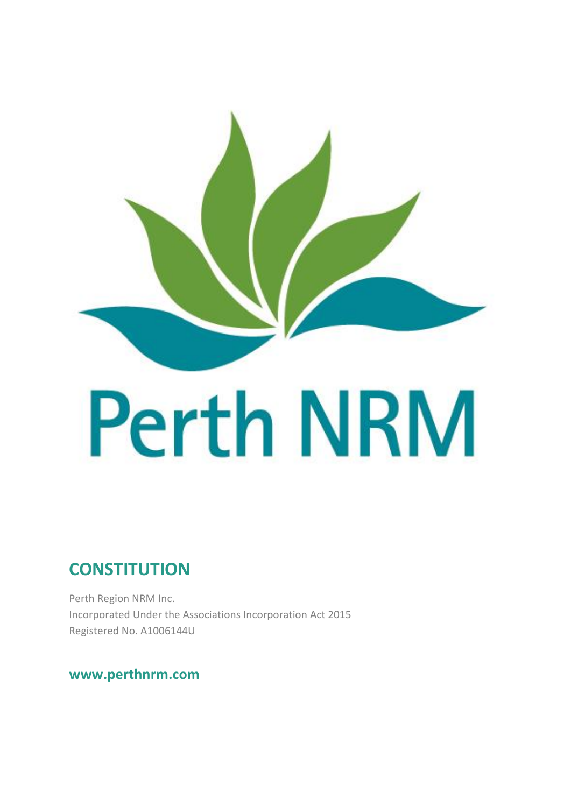

# **CONSTITUTION**

Perth Region NRM Inc. Incorporated Under the Associations Incorporation Act 2015 Registered No. A1006144U

# **www.perthnrm.com**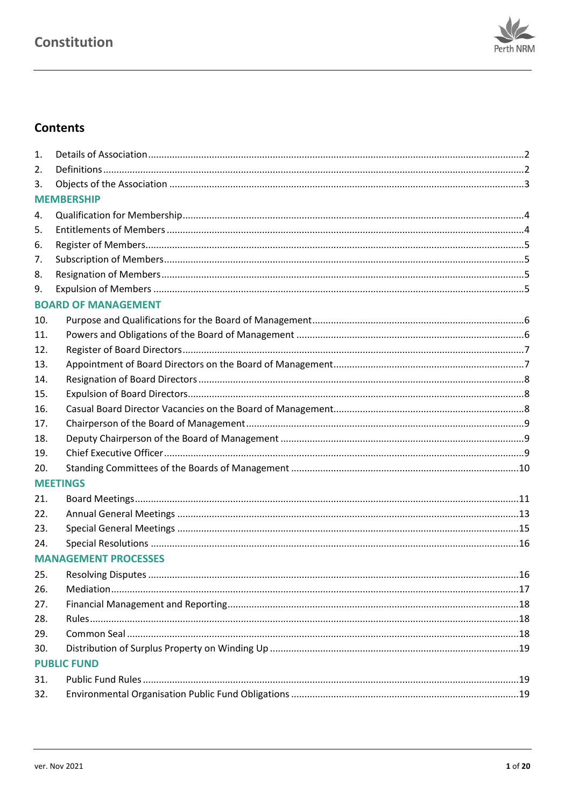

# **Contents**

| 1.  |                             |  |
|-----|-----------------------------|--|
| 2.  |                             |  |
| 3.  |                             |  |
|     | <b>MEMBERSHIP</b>           |  |
| 4.  |                             |  |
| 5.  |                             |  |
| 6.  |                             |  |
| 7.  |                             |  |
| 8.  |                             |  |
| 9.  |                             |  |
|     | <b>BOARD OF MANAGEMENT</b>  |  |
| 10. |                             |  |
| 11. |                             |  |
| 12. |                             |  |
| 13. |                             |  |
| 14. |                             |  |
| 15. |                             |  |
| 16. |                             |  |
| 17. |                             |  |
| 18. |                             |  |
| 19. |                             |  |
| 20. |                             |  |
|     | <b>MEETINGS</b>             |  |
| 21. |                             |  |
| 22. |                             |  |
| 23. |                             |  |
| 24. |                             |  |
|     | <b>MANAGEMENT PROCESSES</b> |  |
| 25. |                             |  |
| 26. |                             |  |
| 27. |                             |  |
| 28. |                             |  |
| 29. |                             |  |
| 30. |                             |  |
|     | <b>PUBLIC FUND</b>          |  |
| 31. |                             |  |
| 32. |                             |  |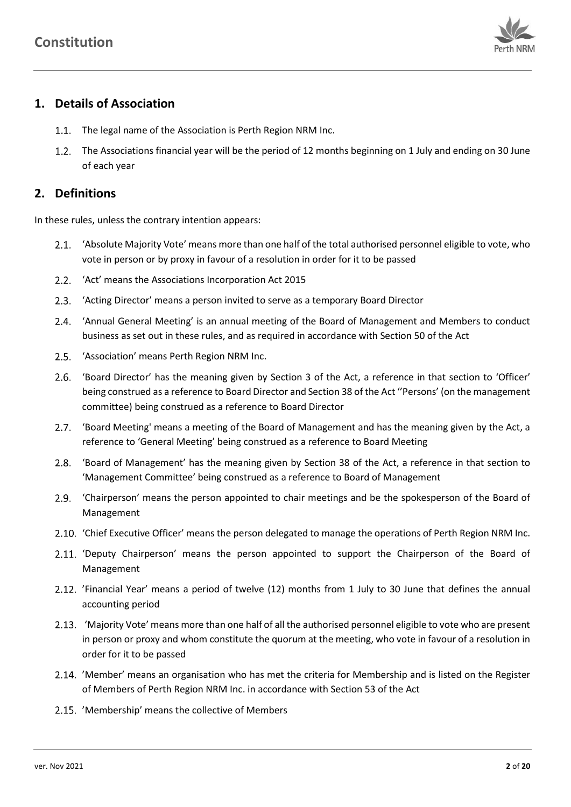

# <span id="page-2-0"></span>**1. Details of Association**

- 1.1. The legal name of the Association is Perth Region NRM Inc.
- 1.2. The Associations financial year will be the period of 12 months beginning on 1 July and ending on 30 June of each year

## <span id="page-2-1"></span>**2. Definitions**

In these rules, unless the contrary intention appears:

- 'Absolute Majority Vote' means more than one half of the total authorised personnel eligible to vote, who vote in person or by proxy in favour of a resolution in order for it to be passed
- 'Act' means the Associations Incorporation Act 2015
- 2.3. 'Acting Director' means a person invited to serve as a temporary Board Director
- 'Annual General Meeting' is an annual meeting of the Board of Management and Members to conduct business as set out in these rules, and as required in accordance with Section 50 of the Act
- 2.5. 'Association' means Perth Region NRM Inc.
- 'Board Director' has the meaning given by Section 3 of the Act, a reference in that section to 'Officer' being construed as a reference to Board Director and Section 38 of the Act ''Persons' (on the management committee) being construed as a reference to Board Director
- 2.7. 'Board Meeting' means a meeting of the Board of Management and has the meaning given by the Act, a reference to 'General Meeting' being construed as a reference to Board Meeting
- 2.8. 'Board of Management' has the meaning given by Section 38 of the Act, a reference in that section to 'Management Committee' being construed as a reference to Board of Management
- 'Chairperson' means the person appointed to chair meetings and be the spokesperson of the Board of Management
- 'Chief Executive Officer' means the person delegated to manage the operations of Perth Region NRM Inc.
- 2.11. 'Deputy Chairperson' means the person appointed to support the Chairperson of the Board of Management
- 2.12. 'Financial Year' means a period of twelve (12) months from 1 July to 30 June that defines the annual accounting period
- 2.13. 'Majority Vote' means more than one half of all the authorised personnel eligible to vote who are present in person or proxy and whom constitute the quorum at the meeting, who vote in favour of a resolution in order for it to be passed
- 2.14. 'Member' means an organisation who has met the criteria for Membership and is listed on the Register of Members of Perth Region NRM Inc. in accordance with Section 53 of the Act
- 2.15. 'Membership' means the collective of Members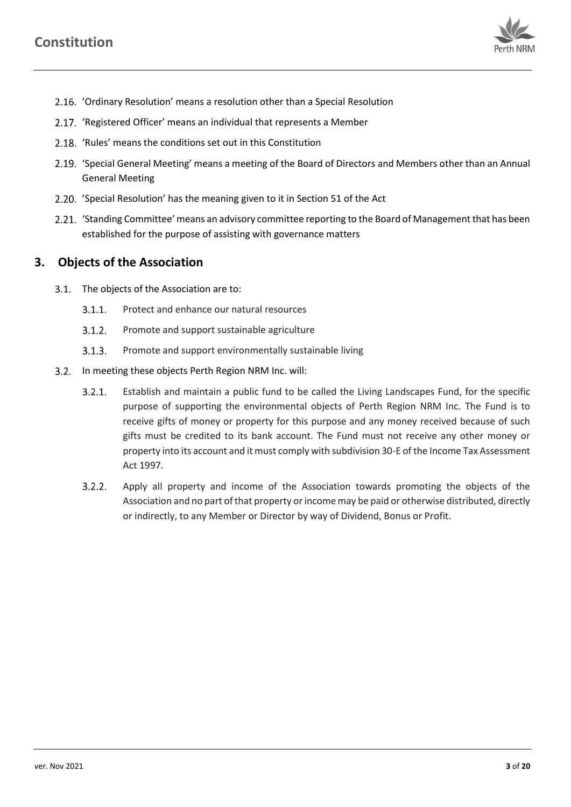

- 'Ordinary Resolution' means a resolution other than a Special Resolution
- 2.17. 'Registered Officer' means an individual that represents a Member
- 2.18. 'Rules' means the conditions set out in this Constitution
- 'Special General Meeting' means a meeting of the Board of Directors and Members other than an Annual General Meeting
- 'Special Resolution' has the meaning given to it in Section 51 of the Act
- 2.21. 'Standing Committee' means an advisory committee reporting to the Board of Management that has been established for the purpose of assisting with governance matters

### <span id="page-3-0"></span>**3. Objects of the Association**

- 3.1. The objects of the Association are to:
	- $3.1.1.$ Protect and enhance our natural resources
	- $3.1.2.$ Promote and support sustainable agriculture
	- $3.1.3.$ Promote and support environmentally sustainable living
- 3.2. In meeting these objects Perth Region NRM Inc. will:
	- $3.2.1.$ Establish and maintain a public fund to be called the Living Landscapes Fund, for the specific purpose of supporting the environmental objects of Perth Region NRM Inc. The Fund is to receive gifts of money or property for this purpose and any money received because of such gifts must be credited to its bank account. The Fund must not receive any other money or property into its account and it must comply with subdivision 30-E of the Income Tax Assessment Act 1997.
	- $3.2.2.$ Apply all property and income of the Association towards promoting the objects of the Association and no part of that property or income may be paid or otherwise distributed, directly or indirectly, to any Member or Director by way of Dividend, Bonus or Profit.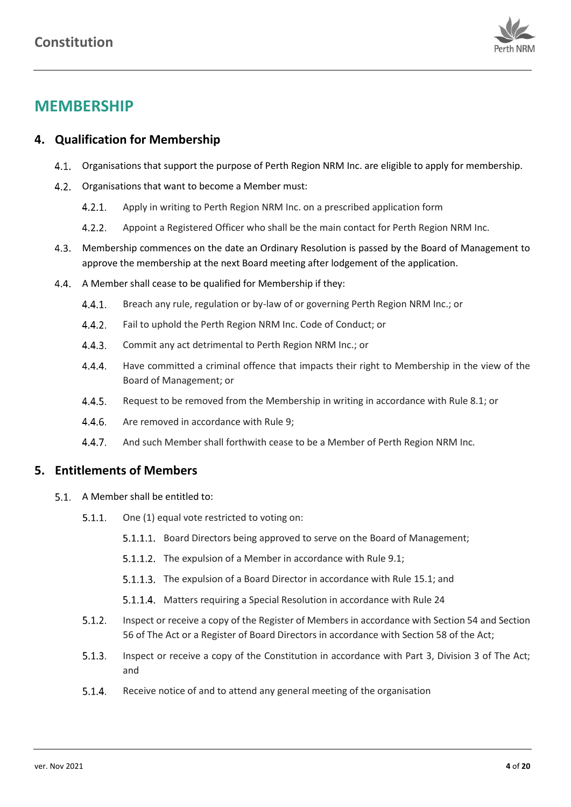

# **MEMBERSHIP**

# <span id="page-4-0"></span>**4. Qualification for Membership**

- Organisations that support the purpose of Perth Region NRM Inc. are eligible to apply for membership.
- 4.2. Organisations that want to become a Member must:
	- $4.2.1.$ Apply in writing to Perth Region NRM Inc. on a prescribed application form
	- $4.2.2.$ Appoint a Registered Officer who shall be the main contact for Perth Region NRM Inc.
- Membership commences on the date an Ordinary Resolution is passed by the Board of Management to approve the membership at the next Board meeting after lodgement of the application.
- <span id="page-4-2"></span>4.4. A Member shall cease to be qualified for Membership if they:
	- $4.4.1.$ Breach any rule, regulation or by-law of or governing Perth Region NRM Inc.; or
	- $4.4.2.$ Fail to uphold the Perth Region NRM Inc. Code of Conduct; or
	- $4.4.3.$ Commit any act detrimental to Perth Region NRM Inc.; or
	- $4.4.4.$ Have committed a criminal offence that impacts their right to Membership in the view of the Board of Management; or
	- $4.4.5.$ Request to be removed from the Membership in writing in accordance with Rul[e 8.1;](#page-5-4) or
	- $4.4.6.$ Are removed in accordance with Rule [9;](#page-5-3)
	- $4.4.7.$ And such Member shall forthwith cease to be a Member of Perth Region NRM Inc.

## <span id="page-4-1"></span>**5. Entitlements of Members**

- <span id="page-4-3"></span>5.1. A Member shall be entitled to:
	- $5.1.1.$ One (1) equal vote restricted to voting on:
		- 5.1.1.1. Board Directors being approved to serve on the Board of Management;
		- 5.1.1.2. The expulsion of a Member in accordance with Rul[e 9.1;](#page-5-5)
		- 5.1.1.3. The expulsion of a Board Director in accordance with Rul[e 15.1;](#page-8-3) and
		- 5.1.1.4. Matters requiring a Special Resolution in accordance with Rul[e 24](#page-16-0)
	- $5.1.2.$ Inspect or receive a copy of the Register of Members in accordance with Section 54 and Section 56 of The Act or a Register of Board Directors in accordance with Section 58 of the Act;
	- $5.1.3.$ Inspect or receive a copy of the Constitution in accordance with Part 3, Division 3 of The Act; and
	- $5.1.4.$ Receive notice of and to attend any general meeting of the organisation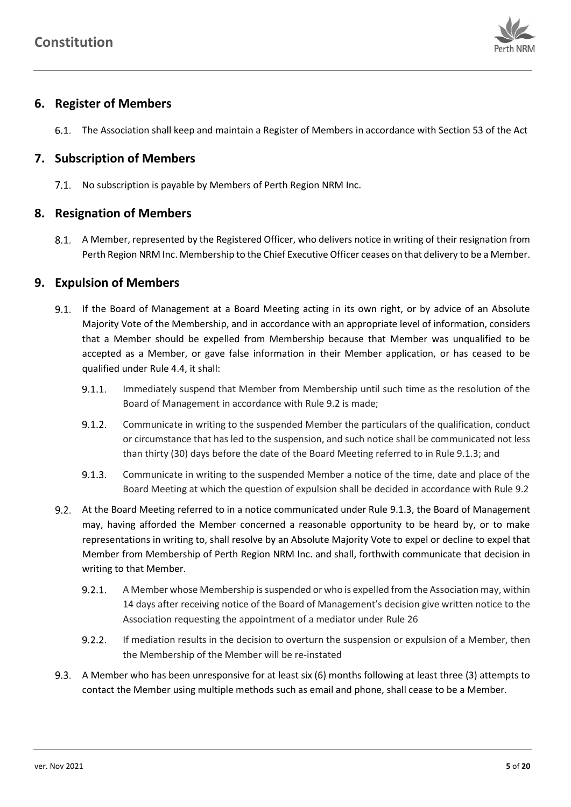

# <span id="page-5-0"></span>**6. Register of Members**

<span id="page-5-8"></span>The Association shall keep and maintain a Register of Members in accordance with Section 53 of the Act

# <span id="page-5-1"></span>**7. Subscription of Members**

7.1. No subscription is payable by Members of Perth Region NRM Inc.

# <span id="page-5-2"></span>**8. Resignation of Members**

<span id="page-5-4"></span>A Member, represented by the Registered Officer, who delivers notice in writing of their resignation from Perth Region NRM Inc. Membership to the Chief Executive Officer ceases on that delivery to be a Member.

# <span id="page-5-3"></span>**9. Expulsion of Members**

- <span id="page-5-5"></span>9.1. If the Board of Management at a Board Meeting acting in its own right, or by advice of an Absolute Majority Vote of the Membership, and in accordance with an appropriate level of information, considers that a Member should be expelled from Membership because that Member was unqualified to be accepted as a Member, or gave false information in their Member application, or has ceased to be qualified under Rul[e 4.4,](#page-4-2) it shall:
	- $9.1.1.$ Immediately suspend that Member from Membership until such time as the resolution of the Board of Management in accordance with Rul[e 9.2](#page-5-6) is made;
	- $9.1.2.$ Communicate in writing to the suspended Member the particulars of the qualification, conduct or circumstance that has led to the suspension, and such notice shall be communicated not less than thirty (30) days before the date of the Board Meeting referred to in Rul[e 9.1.3;](#page-5-7) and
	- $9.1.3.$ Communicate in writing to the suspended Member a notice of the time, date and place of the Board Meeting at which the question of expulsion shall be decided in accordance with Rule [9.2](#page-5-6)
- <span id="page-5-9"></span><span id="page-5-7"></span><span id="page-5-6"></span>At the Board Meeting referred to in a notice communicated under Rule [9.1.3,](#page-5-7) the Board of Management may, having afforded the Member concerned a reasonable opportunity to be heard by, or to make representations in writing to, shall resolve by an Absolute Majority Vote to expel or decline to expel that Member from Membership of Perth Region NRM Inc. and shall, forthwith communicate that decision in writing to that Member.
	- $9.2.1.$ A Member whose Membership is suspended or who is expelled from the Association may, within 14 days after receiving notice of the Board of Management's decision give written notice to the Association requesting the appointment of a mediator under Rule [26](#page-17-0)
	- $9.2.2.$ If mediation results in the decision to overturn the suspension or expulsion of a Member, then the Membership of the Member will be re-instated
- A Member who has been unresponsive for at least six (6) months following at least three (3) attempts to contact the Member using multiple methods such as email and phone, shall cease to be a Member.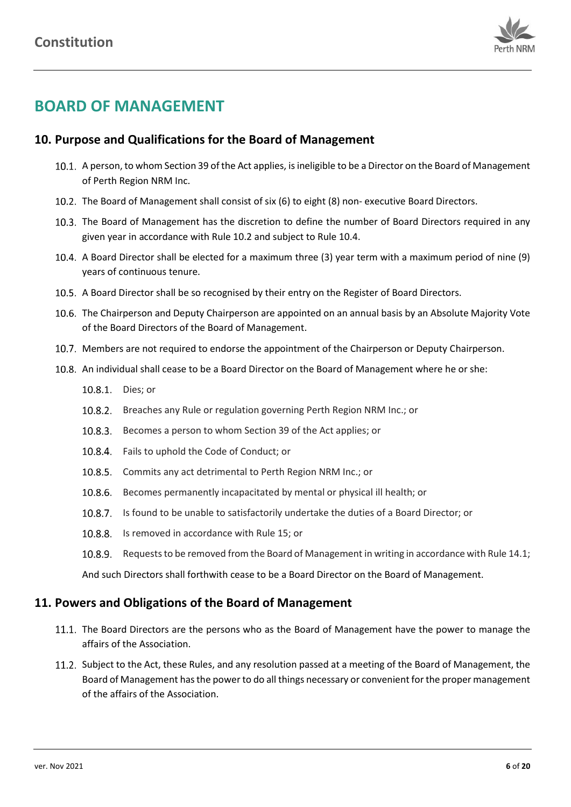<span id="page-6-2"></span>

# **BOARD OF MANAGEMENT**

## <span id="page-6-0"></span>**10. Purpose and Qualifications for the Board of Management**

- <span id="page-6-5"></span>10.1. A person, to whom Section 39 of the Act applies, is ineligible to be a Director on the Board of Management of Perth Region NRM Inc.
- 10.2. The Board of Management shall consist of six (6) to eight (8) non- executive Board Directors.
- 10.3. The Board of Management has the discretion to define the number of Board Directors required in any given year in accordance with Rule [10.2](#page-6-2) and subject to Rule [10.4.](#page-6-3)
- <span id="page-6-3"></span>A Board Director shall be elected for a maximum three (3) year term with a maximum period of nine (9) years of continuous tenure.
- 10.5. A Board Director shall be so recognised by their entry on the Register of Board Directors.
- 10.6. The Chairperson and Deputy Chairperson are appointed on an annual basis by an Absolute Majority Vote of the Board Directors of the Board of Management.
- 10.7. Members are not required to endorse the appointment of the Chairperson or Deputy Chairperson.
- <span id="page-6-4"></span>10.8. An individual shall cease to be a Board Director on the Board of Management where he or she:
	- 10.8.1. Dies; or
	- 10.8.2. Breaches any Rule or regulation governing Perth Region NRM Inc.; or
	- 10.8.3. Becomes a person to whom Section 39 of the Act applies; or
	- 10.8.4. Fails to uphold the Code of Conduct; or
	- 10.8.5. Commits any act detrimental to Perth Region NRM Inc.; or
	- 10.8.6. Becomes permanently incapacitated by mental or physical ill health; or
	- 10.8.7. Is found to be unable to satisfactorily undertake the duties of a Board Director; or
	- 10.8.8. Is removed in accordance with Rul[e 15;](#page-8-1) or
	- 10.8.9. Requests to be removed from the Board of Management in writing in accordance with Rul[e 14.1;](#page-8-4)

And such Directors shall forthwith cease to be a Board Director on the Board of Management.

#### <span id="page-6-1"></span>**11. Powers and Obligations of the Board of Management**

- 11.1. The Board Directors are the persons who as the Board of Management have the power to manage the affairs of the Association.
- 11.2. Subject to the Act, these Rules, and any resolution passed at a meeting of the Board of Management, the Board of Management has the power to do all things necessary or convenient for the proper management of the affairs of the Association.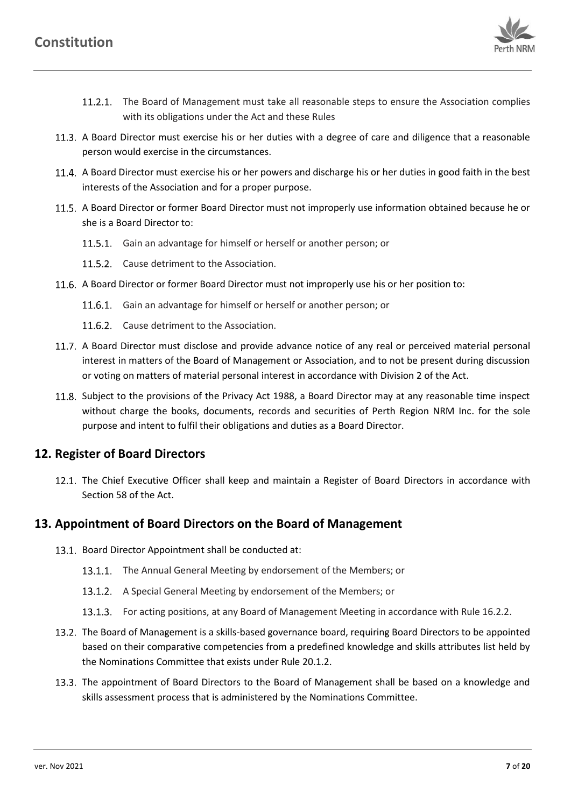

- 11.2.1. The Board of Management must take all reasonable steps to ensure the Association complies with its obligations under the Act and these Rules
- 11.3. A Board Director must exercise his or her duties with a degree of care and diligence that a reasonable person would exercise in the circumstances.
- 11.4. A Board Director must exercise his or her powers and discharge his or her duties in good faith in the best interests of the Association and for a proper purpose.
- 11.5. A Board Director or former Board Director must not improperly use information obtained because he or she is a Board Director to:
	- 11.5.1. Gain an advantage for himself or herself or another person; or
	- 11.5.2. Cause detriment to the Association.
- 11.6. A Board Director or former Board Director must not improperly use his or her position to:
	- 11.6.1. Gain an advantage for himself or herself or another person; or
	- 11.6.2. Cause detriment to the Association.
- <span id="page-7-4"></span>11.7. A Board Director must disclose and provide advance notice of any real or perceived material personal interest in matters of the Board of Management or Association, and to not be present during discussion or voting on matters of material personal interest in accordance with Division 2 of the Act.
- 11.8. Subject to the provisions of the Privacy Act 1988, a Board Director may at any reasonable time inspect without charge the books, documents, records and securities of Perth Region NRM Inc. for the sole purpose and intent to fulfil their obligations and duties as a Board Director.

## <span id="page-7-0"></span>**12. Register of Board Directors**

<span id="page-7-3"></span>12.1. The Chief Executive Officer shall keep and maintain a Register of Board Directors in accordance with Section 58 of the Act.

## <span id="page-7-1"></span>**13. Appointment of Board Directors on the Board of Management**

- 13.1. Board Director Appointment shall be conducted at:
	- 13.1.1. The Annual General Meeting by endorsement of the Members; or
	- 13.1.2. A Special General Meeting by endorsement of the Members; or
	- 13.1.3. For acting positions, at any Board of Management Meeting in accordance with Rule [16.2.2.](#page-9-3)
- 13.2. The Board of Management is a skills-based governance board, requiring Board Directors to be appointed based on their comparative competencies from a predefined knowledge and skills attributes list held by the Nominations Committee that exists under Rule [20.1.2.](#page-10-1)
- <span id="page-7-2"></span>13.3. The appointment of Board Directors to the Board of Management shall be based on a knowledge and skills assessment process that is administered by the Nominations Committee.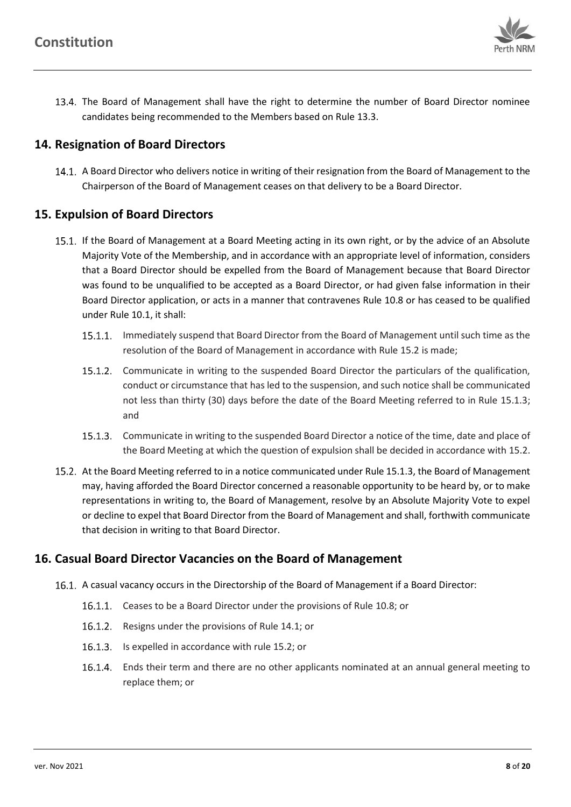

The Board of Management shall have the right to determine the number of Board Director nominee candidates being recommended to the Members based on Rul[e 13.3.](#page-7-2)

## <span id="page-8-0"></span>**14. Resignation of Board Directors**

<span id="page-8-4"></span>14.1. A Board Director who delivers notice in writing of their resignation from the Board of Management to the Chairperson of the Board of Management ceases on that delivery to be a Board Director.

## <span id="page-8-1"></span>**15. Expulsion of Board Directors**

- <span id="page-8-3"></span>15.1. If the Board of Management at a Board Meeting acting in its own right, or by the advice of an Absolute Majority Vote of the Membership, and in accordance with an appropriate level of information, considers that a Board Director should be expelled from the Board of Management because that Board Director was found to be unqualified to be accepted as a Board Director, or had given false information in their Board Director application, or acts in a manner that contravenes Rule [10.8](#page-6-4) or has ceased to be qualified under Rule [10.1,](#page-6-5) it shall:
	- 15.1.1. Immediately suspend that Board Director from the Board of Management until such time as the resolution of the Board of Management in accordance with Rul[e 15.2](#page-8-5) is made;
	- 15.1.2. Communicate in writing to the suspended Board Director the particulars of the qualification, conduct or circumstance that has led to the suspension, and such notice shall be communicated not less than thirty (30) days before the date of the Board Meeting referred to in Rule [15.1.3;](#page-8-6) and
	- 15.1.3. Communicate in writing to the suspended Board Director a notice of the time, date and place of the Board Meeting at which the question of expulsion shall be decided in accordance wit[h 15.2.](#page-8-5)
- <span id="page-8-6"></span><span id="page-8-5"></span>15.2. At the Board Meeting referred to in a notice communicated under Rul[e 15.1.3,](#page-8-6) the Board of Management may, having afforded the Board Director concerned a reasonable opportunity to be heard by, or to make representations in writing to, the Board of Management, resolve by an Absolute Majority Vote to expel or decline to expel that Board Director from the Board of Management and shall, forthwith communicate that decision in writing to that Board Director.

## <span id="page-8-2"></span>**16. Casual Board Director Vacancies on the Board of Management**

- 16.1. A casual vacancy occurs in the Directorship of the Board of Management if a Board Director:
	- 16.1.1. Ceases to be a Board Director under the provisions of Rul[e 10.8;](#page-6-4) or
	- 16.1.2. Resigns under the provisions of Rul[e 14.1;](#page-8-4) or
	- 16.1.3. Is expelled in accordance with rule [15.2;](#page-8-5) or
	- Ends their term and there are no other applicants nominated at an annual general meeting to replace them; or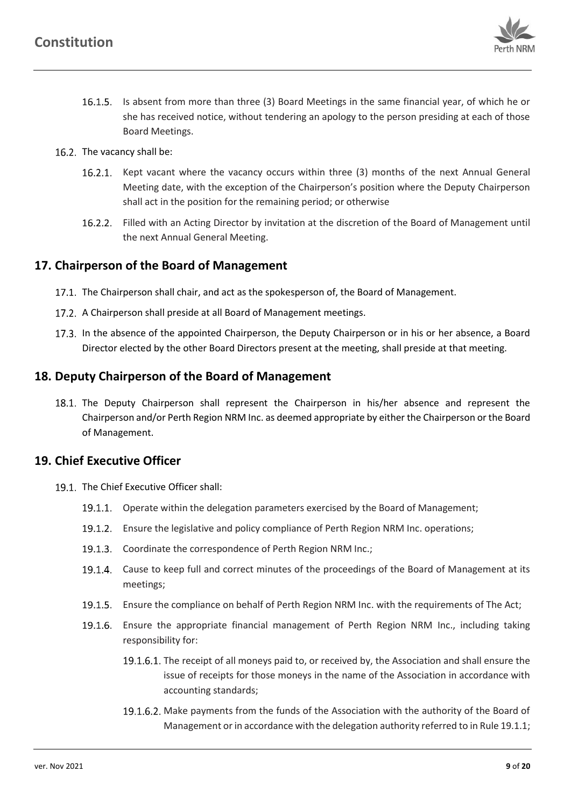

- Is absent from more than three (3) Board Meetings in the same financial year, of which he or she has received notice, without tendering an apology to the person presiding at each of those Board Meetings.
- 16.2. The vacancy shall be:
	- 16.2.1. Kept vacant where the vacancy occurs within three (3) months of the next Annual General Meeting date, with the exception of the Chairperson's position where the Deputy Chairperson shall act in the position for the remaining period; or otherwise
	- 16.2.2. Filled with an Acting Director by invitation at the discretion of the Board of Management until the next Annual General Meeting.

## <span id="page-9-3"></span><span id="page-9-0"></span>**17. Chairperson of the Board of Management**

- 17.1. The Chairperson shall chair, and act as the spokesperson of, the Board of Management.
- 17.2. A Chairperson shall preside at all Board of Management meetings.
- 17.3. In the absence of the appointed Chairperson, the Deputy Chairperson or in his or her absence, a Board Director elected by the other Board Directors present at the meeting, shall preside at that meeting.

## <span id="page-9-1"></span>**18. Deputy Chairperson of the Board of Management**

18.1. The Deputy Chairperson shall represent the Chairperson in his/her absence and represent the Chairperson and/or Perth Region NRM Inc. as deemed appropriate by either the Chairperson or the Board of Management.

## <span id="page-9-2"></span>**19. Chief Executive Officer**

- <span id="page-9-4"></span>19.1. The Chief Executive Officer shall:
	- 19.1.1. Operate within the delegation parameters exercised by the Board of Management;
	- 19.1.2. Ensure the legislative and policy compliance of Perth Region NRM Inc. operations;
	- 19.1.3. Coordinate the correspondence of Perth Region NRM Inc.;
	- 19.1.4. Cause to keep full and correct minutes of the proceedings of the Board of Management at its meetings;
	- Ensure the compliance on behalf of Perth Region NRM Inc. with the requirements of The Act;
	- 19.1.6. Ensure the appropriate financial management of Perth Region NRM Inc., including taking responsibility for:
		- 19.1.6.1. The receipt of all moneys paid to, or received by, the Association and shall ensure the issue of receipts for those moneys in the name of the Association in accordance with accounting standards;
		- 19.1.6.2. Make payments from the funds of the Association with the authority of the Board of Management or in accordance with the delegation authority referred to in Rule [19.1.1;](#page-9-4)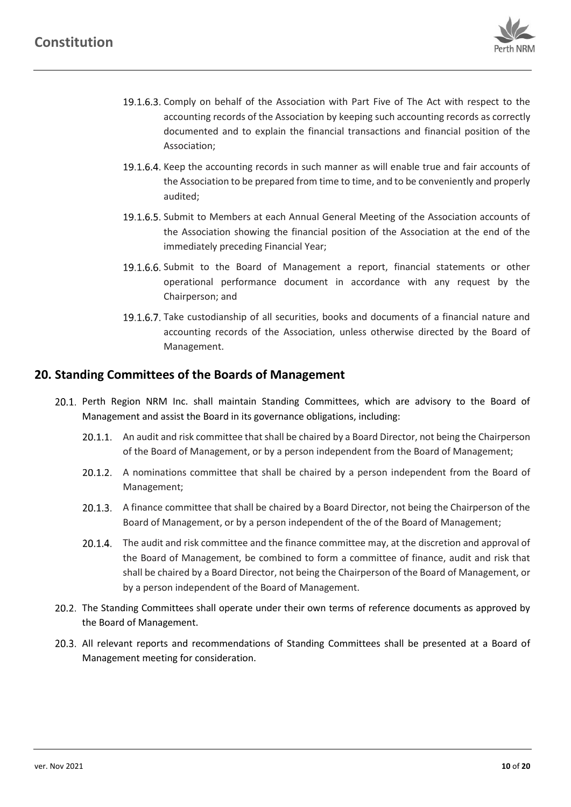

- 19.1.6.3. Comply on behalf of the Association with Part Five of The Act with respect to the accounting records of the Association by keeping such accounting records as correctly documented and to explain the financial transactions and financial position of the Association;
- 19.1.6.4. Keep the accounting records in such manner as will enable true and fair accounts of the Association to be prepared from time to time, and to be conveniently and properly audited;
- 19.1.6.5. Submit to Members at each Annual General Meeting of the Association accounts of the Association showing the financial position of the Association at the end of the immediately preceding Financial Year;
- 19.1.6.6. Submit to the Board of Management a report, financial statements or other operational performance document in accordance with any request by the Chairperson; and
- 19.1.6.7. Take custodianship of all securities, books and documents of a financial nature and accounting records of the Association, unless otherwise directed by the Board of Management.

## <span id="page-10-0"></span>**20. Standing Committees of the Boards of Management**

- <span id="page-10-1"></span>20.1. Perth Region NRM Inc. shall maintain Standing Committees, which are advisory to the Board of Management and assist the Board in its governance obligations, including:
	- 20.1.1. An audit and risk committee that shall be chaired by a Board Director, not being the Chairperson of the Board of Management, or by a person independent from the Board of Management;
	- 20.1.2. A nominations committee that shall be chaired by a person independent from the Board of Management;
	- 20.1.3. A finance committee that shall be chaired by a Board Director, not being the Chairperson of the Board of Management, or by a person independent of the of the Board of Management;
	- 20.1.4. The audit and risk committee and the finance committee may, at the discretion and approval of the Board of Management, be combined to form a committee of finance, audit and risk that shall be chaired by a Board Director, not being the Chairperson of the Board of Management, or by a person independent of the Board of Management.
- 20.2. The Standing Committees shall operate under their own terms of reference documents as approved by the Board of Management.
- All relevant reports and recommendations of Standing Committees shall be presented at a Board of Management meeting for consideration.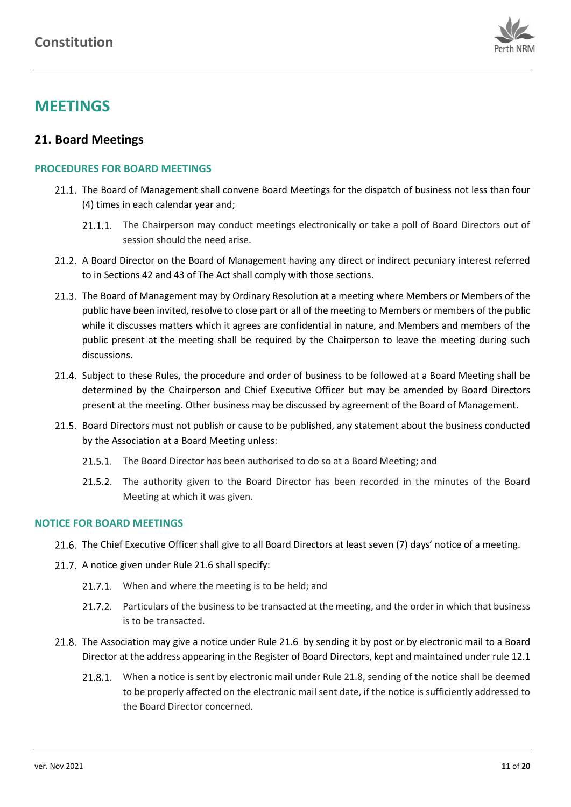

# **MEETINGS**

## <span id="page-11-0"></span>**21. Board Meetings**

#### **PROCEDURES FOR BOARD MEETINGS**

- 21.1. The Board of Management shall convene Board Meetings for the dispatch of business not less than four (4) times in each calendar year and;
	- 21.1.1. The Chairperson may conduct meetings electronically or take a poll of Board Directors out of session should the need arise.
- 21.2. A Board Director on the Board of Management having any direct or indirect pecuniary interest referred to in Sections 42 and 43 of The Act shall comply with those sections.
- 21.3. The Board of Management may by Ordinary Resolution at a meeting where Members or Members of the public have been invited, resolve to close part or all of the meeting to Members or members of the public while it discusses matters which it agrees are confidential in nature, and Members and members of the public present at the meeting shall be required by the Chairperson to leave the meeting during such discussions.
- 21.4. Subject to these Rules, the procedure and order of business to be followed at a Board Meeting shall be determined by the Chairperson and Chief Executive Officer but may be amended by Board Directors present at the meeting. Other business may be discussed by agreement of the Board of Management.
- 21.5. Board Directors must not publish or cause to be published, any statement about the business conducted by the Association at a Board Meeting unless:
	- 21.5.1. The Board Director has been authorised to do so at a Board Meeting; and
	- 21.5.2. The authority given to the Board Director has been recorded in the minutes of the Board Meeting at which it was given.

#### <span id="page-11-1"></span>**NOTICE FOR BOARD MEETINGS**

- 21.6. The Chief Executive Officer shall give to all Board Directors at least seven (7) days' notice of a meeting.
- 21.7. A notice given under Rul[e 21.6](#page-11-1) shall specify:
	- 21.7.1. When and where the meeting is to be held; and
	- 21.7.2. Particulars of the business to be transacted at the meeting, and the order in which that business is to be transacted.
- <span id="page-11-2"></span>21.8. The Association may give a notice under Rule [21.6](#page-11-1) by sending it by post or by electronic mail to a Board Director at the address appearing in the Register of Board Directors, kept and maintained under rule [12.1](#page-7-3)
	- 21.8.1. When a notice is sent by electronic mail under Rule [21.8,](#page-11-2) sending of the notice shall be deemed to be properly affected on the electronic mail sent date, if the notice is sufficiently addressed to the Board Director concerned.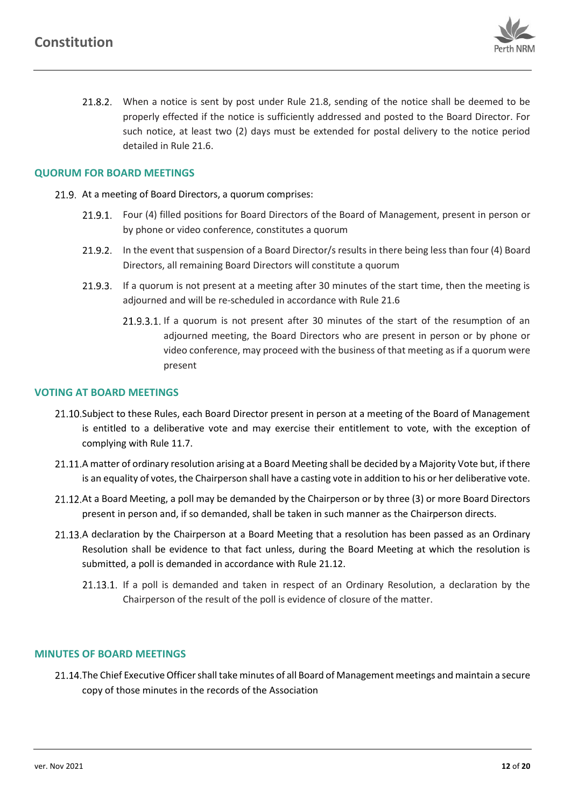

21.8.2. When a notice is sent by post under Rule [21.8,](#page-11-2) sending of the notice shall be deemed to be properly effected if the notice is sufficiently addressed and posted to the Board Director. For such notice, at least two (2) days must be extended for postal delivery to the notice period detailed in Rule [21.6.](#page-11-1)

### **QUORUM FOR BOARD MEETINGS**

- 21.9. At a meeting of Board Directors, a quorum comprises:
	- 21.9.1. Four (4) filled positions for Board Directors of the Board of Management, present in person or by phone or video conference, constitutes a quorum
	- 21.9.2. In the event that suspension of a Board Director/s results in there being less than four (4) Board Directors, all remaining Board Directors will constitute a quorum
	- 21.9.3. If a quorum is not present at a meeting after 30 minutes of the start time, then the meeting is adjourned and will be re-scheduled in accordance with Rule 21.6
		- 21.9.3.1. If a quorum is not present after 30 minutes of the start of the resumption of an adjourned meeting, the Board Directors who are present in person or by phone or video conference, may proceed with the business of that meeting as if a quorum were present

#### **VOTING AT BOARD MEETINGS**

- 21.10. Subject to these Rules, each Board Director present in person at a meeting of the Board of Management is entitled to a deliberative vote and may exercise their entitlement to vote, with the exception of complying with Rul[e 11.7.](#page-7-4)
- 21.11.A matter of ordinary resolution arising at a Board Meeting shall be decided by a Majority Vote but, if there is an equality of votes, the Chairperson shall have a casting vote in addition to his or her deliberative vote.
- <span id="page-12-0"></span>21.12. At a Board Meeting, a poll may be demanded by the Chairperson or by three (3) or more Board Directors present in person and, if so demanded, shall be taken in such manner as the Chairperson directs.
- 21.13.A declaration by the Chairperson at a Board Meeting that a resolution has been passed as an Ordinary Resolution shall be evidence to that fact unless, during the Board Meeting at which the resolution is submitted, a poll is demanded in accordance with Rul[e 21.12.](#page-12-0)
	- 21.13.1. If a poll is demanded and taken in respect of an Ordinary Resolution, a declaration by the Chairperson of the result of the poll is evidence of closure of the matter.

#### **MINUTES OF BOARD MEETINGS**

21.14. The Chief Executive Officer shall take minutes of all Board of Management meetings and maintain a secure copy of those minutes in the records of the Association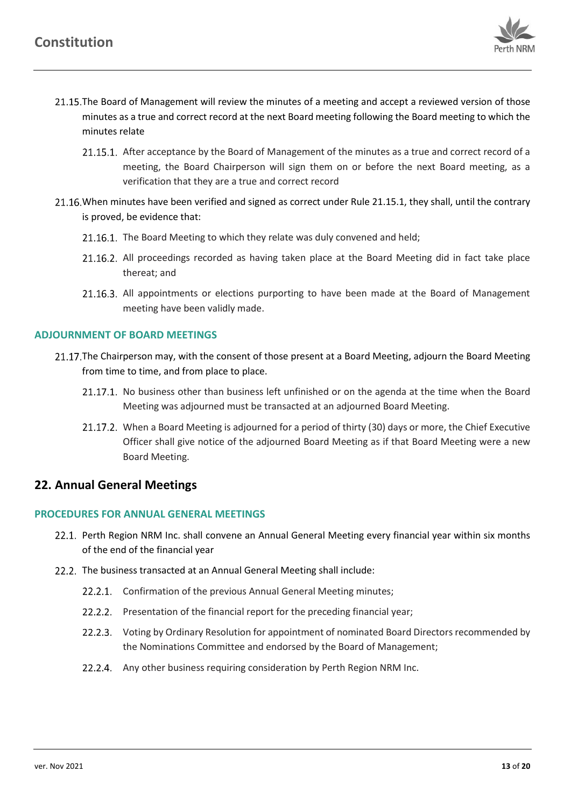

- <span id="page-13-1"></span>21.15. The Board of Management will review the minutes of a meeting and accept a reviewed version of those minutes as a true and correct record at the next Board meeting following the Board meeting to which the minutes relate
	- 21.15.1. After acceptance by the Board of Management of the minutes as a true and correct record of a meeting, the Board Chairperson will sign them on or before the next Board meeting, as a verification that they are a true and correct record
- 21.16. When minutes have been verified and signed as correct under Rule [21.15.1,](#page-13-1) they shall, until the contrary is proved, be evidence that:
	- 21.16.1. The Board Meeting to which they relate was duly convened and held;
	- 21.16.2. All proceedings recorded as having taken place at the Board Meeting did in fact take place thereat; and
	- 21.16.3. All appointments or elections purporting to have been made at the Board of Management meeting have been validly made.

## **ADJOURNMENT OF BOARD MEETINGS**

- 21.17. The Chairperson may, with the consent of those present at a Board Meeting, adjourn the Board Meeting from time to time, and from place to place.
	- 21.17.1. No business other than business left unfinished or on the agenda at the time when the Board Meeting was adjourned must be transacted at an adjourned Board Meeting.
	- 21.17.2. When a Board Meeting is adjourned for a period of thirty (30) days or more, the Chief Executive Officer shall give notice of the adjourned Board Meeting as if that Board Meeting were a new Board Meeting.

## <span id="page-13-0"></span>**22. Annual General Meetings**

#### **PROCEDURES FOR ANNUAL GENERAL MEETINGS**

- 22.1. Perth Region NRM Inc. shall convene an Annual General Meeting every financial year within six months of the end of the financial year
- 22.2. The business transacted at an Annual General Meeting shall include:
	- 22.2.1. Confirmation of the previous Annual General Meeting minutes;
	- 22.2.2. Presentation of the financial report for the preceding financial year;
	- 22.2.3. Voting by Ordinary Resolution for appointment of nominated Board Directors recommended by the Nominations Committee and endorsed by the Board of Management;
	- 22.2.4. Any other business requiring consideration by Perth Region NRM Inc.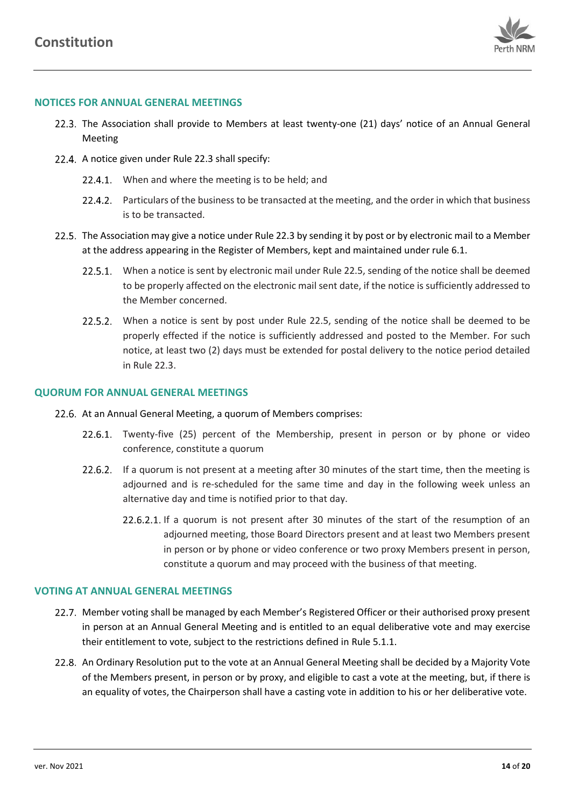

#### <span id="page-14-0"></span>**NOTICES FOR ANNUAL GENERAL MEETINGS**

- 22.3. The Association shall provide to Members at least twenty-one (21) days' notice of an Annual General Meeting
- 22.4. A notice given under Rul[e 22.3](#page-14-0) shall specify:
	- 22.4.1. When and where the meeting is to be held; and
	- 22.4.2. Particulars of the business to be transacted at the meeting, and the order in which that business is to be transacted.
- <span id="page-14-1"></span>22.5. The Association may give a notice under Rule [22.3](#page-14-0) by sending it by post or by electronic mail to a Member at the address appearing in the Register of Members, kept and maintained under rul[e 6.1.](#page-5-8)
	- 22.5.1. When a notice is sent by electronic mail under Rule [22.5,](#page-14-1) sending of the notice shall be deemed to be properly affected on the electronic mail sent date, if the notice is sufficiently addressed to the Member concerned.
	- 22.5.2. When a notice is sent by post under Rule [22.5,](#page-14-1) sending of the notice shall be deemed to be properly effected if the notice is sufficiently addressed and posted to the Member. For such notice, at least two (2) days must be extended for postal delivery to the notice period detailed in Rule [22.3.](#page-14-0)

#### <span id="page-14-2"></span>**QUORUM FOR ANNUAL GENERAL MEETINGS**

- 22.6. At an Annual General Meeting, a quorum of Members comprises:
	- 22.6.1. Twenty-five (25) percent of the Membership, present in person or by phone or video conference, constitute a quorum
	- 22.6.2. If a quorum is not present at a meeting after 30 minutes of the start time, then the meeting is adjourned and is re-scheduled for the same time and day in the following week unless an alternative day and time is notified prior to that day.
		- 22.6.2.1. If a quorum is not present after 30 minutes of the start of the resumption of an adjourned meeting, those Board Directors present and at least two Members present in person or by phone or video conference or two proxy Members present in person, constitute a quorum and may proceed with the business of that meeting.

#### **VOTING AT ANNUAL GENERAL MEETINGS**

- 22.7. Member voting shall be managed by each Member's Registered Officer or their authorised proxy present in person at an Annual General Meeting and is entitled to an equal deliberative vote and may exercise their entitlement to vote, subject to the restrictions defined in Rul[e 5.1.1.](#page-4-3)
- 22.8. An Ordinary Resolution put to the vote at an Annual General Meeting shall be decided by a Majority Vote of the Members present, in person or by proxy, and eligible to cast a vote at the meeting, but, if there is an equality of votes, the Chairperson shall have a casting vote in addition to his or her deliberative vote.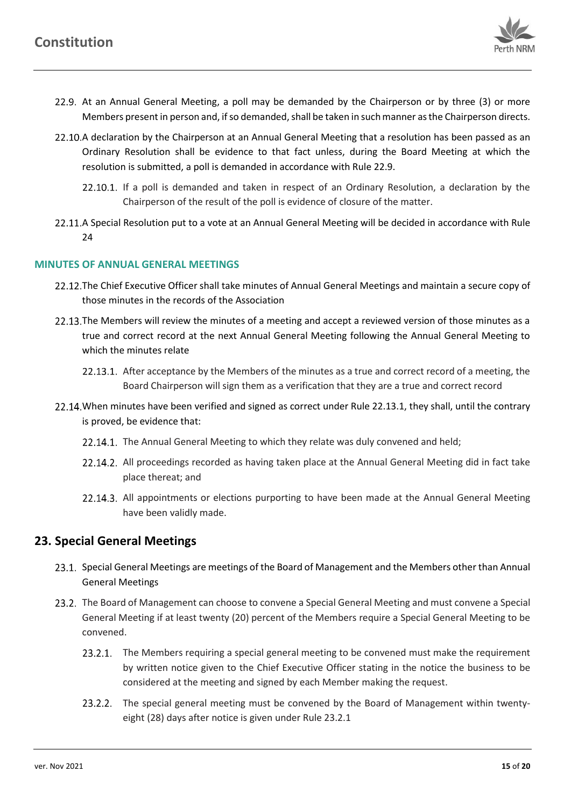

- <span id="page-15-1"></span>22.9. At an Annual General Meeting, a poll may be demanded by the Chairperson or by three (3) or more Members present in person and, if so demanded, shall be taken in such manner as the Chairperson directs.
- 22.10.A declaration by the Chairperson at an Annual General Meeting that a resolution has been passed as an Ordinary Resolution shall be evidence to that fact unless, during the Board Meeting at which the resolution is submitted, a poll is demanded in accordance with Rule [22.9.](#page-15-1)
	- 22.10.1. If a poll is demanded and taken in respect of an Ordinary Resolution, a declaration by the Chairperson of the result of the poll is evidence of closure of the matter.
- 22.11.A Special Resolution put to a vote at an Annual General Meeting will be decided in accordance with Rule [24](#page-16-0)

#### **MINUTES OF ANNUAL GENERAL MEETINGS**

- 22.12. The Chief Executive Officer shall take minutes of Annual General Meetings and maintain a secure copy of those minutes in the records of the Association
- 22.13. The Members will review the minutes of a meeting and accept a reviewed version of those minutes as a true and correct record at the next Annual General Meeting following the Annual General Meeting to which the minutes relate
	- 22.13.1. After acceptance by the Members of the minutes as a true and correct record of a meeting, the Board Chairperson will sign them as a verification that they are a true and correct record
- <span id="page-15-4"></span><span id="page-15-2"></span>22.14. When minutes have been verified and signed as correct under Rule [22.13.1,](#page-15-2) they shall, until the contrary is proved, be evidence that:
	- 22.14.1. The Annual General Meeting to which they relate was duly convened and held;
	- 22.14.2. All proceedings recorded as having taken place at the Annual General Meeting did in fact take place thereat; and
	- 22.14.3. All appointments or elections purporting to have been made at the Annual General Meeting have been validly made.

# <span id="page-15-0"></span>**23. Special General Meetings**

- 23.1. Special General Meetings are meetings of the Board of Management and the Members other than Annual General Meetings
- <span id="page-15-3"></span>23.2. The Board of Management can choose to convene a Special General Meeting and must convene a Special General Meeting if at least twenty (20) percent of the Members require a Special General Meeting to be convened.
	- 23.2.1. The Members requiring a special general meeting to be convened must make the requirement by written notice given to the Chief Executive Officer stating in the notice the business to be considered at the meeting and signed by each Member making the request.
	- 23.2.2. The special general meeting must be convened by the Board of Management within twentyeight (28) days after notice is given under Rule [23.2.1](#page-15-3)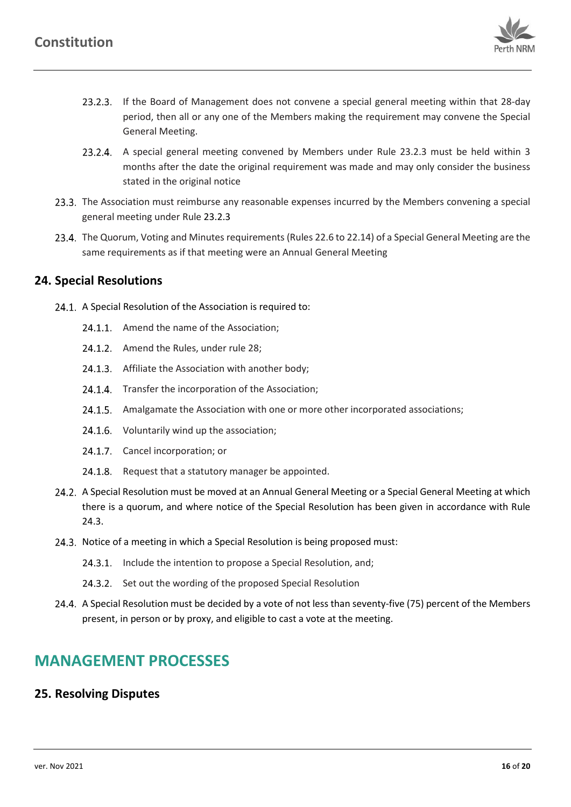

- <span id="page-16-2"></span>If the Board of Management does not convene a special general meeting within that 28-day period, then all or any one of the Members making the requirement may convene the Special General Meeting.
- 23.2.4. A special general meeting convened by Members under Rule [23.2.3](#page-16-2) must be held within 3 months after the date the original requirement was made and may only consider the business stated in the original notice
- 23.3. The Association must reimburse any reasonable expenses incurred by the Members convening a special general meeting under Rul[e 23.2.3](#page-16-2)
- 23.4. The Quorum, Voting and Minutes requirements (Rule[s 22.6](#page-14-2) t[o 22.14\)](#page-15-4) of a Special General Meeting are the same requirements as if that meeting were an Annual General Meeting

## <span id="page-16-0"></span>**24. Special Resolutions**

- 24.1. A Special Resolution of the Association is required to:
	- 24.1.1. Amend the name of the Association;
	- 24.1.2. Amend the Rules, under rule [28;](#page-18-1)
	- 24.1.3. Affiliate the Association with another body;
	- 24.1.4. Transfer the incorporation of the Association;
	- 24.1.5. Amalgamate the Association with one or more other incorporated associations;
	- 24.1.6. Voluntarily wind up the association;
	- 24.1.7. Cancel incorporation; or
	- 24.1.8. Request that a statutory manager be appointed.
- 24.2. A Special Resolution must be moved at an Annual General Meeting or a Special General Meeting at which there is a quorum, and where notice of the Special Resolution has been given in accordance with Rule [24.3.](#page-16-3)
- <span id="page-16-3"></span>24.3. Notice of a meeting in which a Special Resolution is being proposed must:
	- 24.3.1. Include the intention to propose a Special Resolution, and;
	- 24.3.2. Set out the wording of the proposed Special Resolution
- 24.4. A Special Resolution must be decided by a vote of not less than seventy-five (75) percent of the Members present, in person or by proxy, and eligible to cast a vote at the meeting.

# **MANAGEMENT PROCESSES**

## <span id="page-16-1"></span>**25. Resolving Disputes**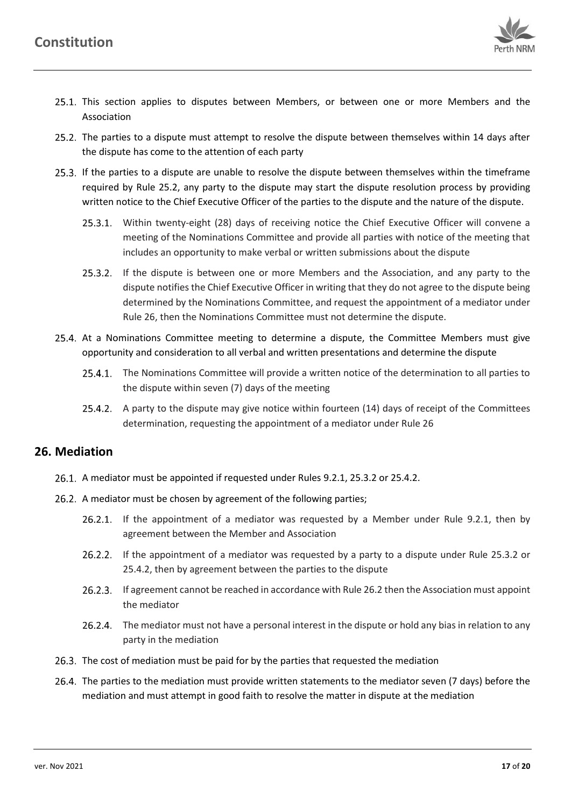

- 25.1. This section applies to disputes between Members, or between one or more Members and the Association
- <span id="page-17-1"></span>25.2. The parties to a dispute must attempt to resolve the dispute between themselves within 14 days after the dispute has come to the attention of each party
- 25.3. If the parties to a dispute are unable to resolve the dispute between themselves within the timeframe required by Rule [25.2,](#page-17-1) any party to the dispute may start the dispute resolution process by providing written notice to the Chief Executive Officer of the parties to the dispute and the nature of the dispute.
	- 25.3.1. Within twenty-eight (28) days of receiving notice the Chief Executive Officer will convene a meeting of the Nominations Committee and provide all parties with notice of the meeting that includes an opportunity to make verbal or written submissions about the dispute
	- 25.3.2. If the dispute is between one or more Members and the Association, and any party to the dispute notifies the Chief Executive Officer in writing that they do not agree to the dispute being determined by the Nominations Committee, and request the appointment of a mediator under Rule [26,](#page-17-0) then the Nominations Committee must not determine the dispute.
- <span id="page-17-2"></span>25.4. At a Nominations Committee meeting to determine a dispute, the Committee Members must give opportunity and consideration to all verbal and written presentations and determine the dispute
	- 25.4.1. The Nominations Committee will provide a written notice of the determination to all parties to the dispute within seven (7) days of the meeting
	- 25.4.2. A party to the dispute may give notice within fourteen (14) days of receipt of the Committees determination, requesting the appointment of a mediator under Rul[e 26](#page-17-0)

## <span id="page-17-3"></span><span id="page-17-0"></span>**26. Mediation**

- A mediator must be appointed if requested under Rules [9.2.1,](#page-5-9) [25.3.2](#page-17-2) o[r 25.4.2.](#page-17-3)
- <span id="page-17-4"></span>26.2. A mediator must be chosen by agreement of the following parties;
	- 26.2.1. If the appointment of a mediator was requested by a Member under Rule [9.2.1,](#page-5-9) then by agreement between the Member and Association
	- 26.2.2. If the appointment of a mediator was requested by a party to a dispute under Rule [25.3.2](#page-17-2) or [25.4.2,](#page-17-3) then by agreement between the parties to the dispute
	- 26.2.3. If agreement cannot be reached in accordance with Rul[e 26.2](#page-17-4) then the Association must appoint the mediator
	- 26.2.4. The mediator must not have a personal interest in the dispute or hold any bias in relation to any party in the mediation
- 26.3. The cost of mediation must be paid for by the parties that requested the mediation
- 26.4. The parties to the mediation must provide written statements to the mediator seven (7 days) before the mediation and must attempt in good faith to resolve the matter in dispute at the mediation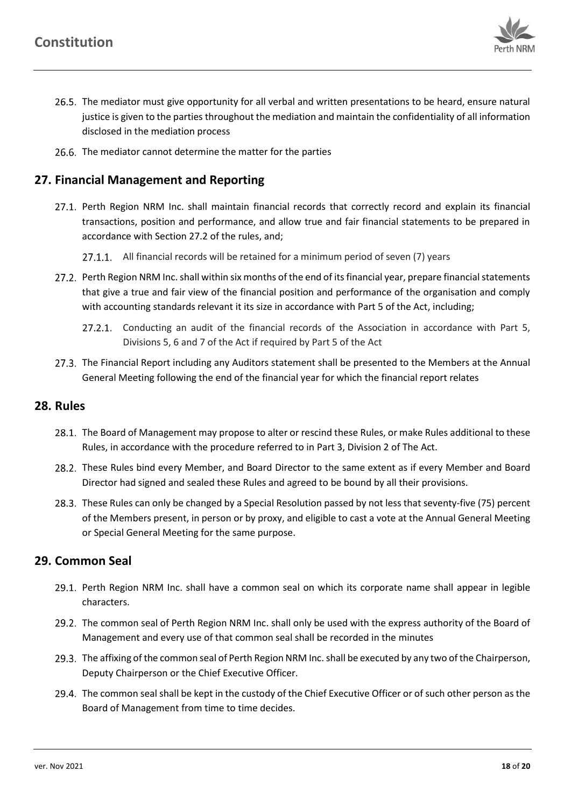<span id="page-18-0"></span>

- 26.5. The mediator must give opportunity for all verbal and written presentations to be heard, ensure natural justice is given to the parties throughout the mediation and maintain the confidentiality of all information disclosed in the mediation process
- 26.6. The mediator cannot determine the matter for the parties

# **27. Financial Management and Reporting**

- 27.1. Perth Region NRM Inc. shall maintain financial records that correctly record and explain its financial transactions, position and performance, and allow true and fair financial statements to be prepared in accordance with Section [27.2](#page-18-3) of the rules, and;
	- 27.1.1. All financial records will be retained for a minimum period of seven (7) years
- <span id="page-18-3"></span>27.2. Perth Region NRM Inc. shall within six months of the end of its financial year, prepare financial statements that give a true and fair view of the financial position and performance of the organisation and comply with accounting standards relevant it its size in accordance with Part 5 of the Act, including;
	- 27.2.1. Conducting an audit of the financial records of the Association in accordance with Part 5, Divisions 5, 6 and 7 of the Act if required by Part 5 of the Act
- 27.3. The Financial Report including any Auditors statement shall be presented to the Members at the Annual General Meeting following the end of the financial year for which the financial report relates

## <span id="page-18-1"></span>**28. Rules**

- 28.1. The Board of Management may propose to alter or rescind these Rules, or make Rules additional to these Rules, in accordance with the procedure referred to in Part 3, Division 2 of The Act.
- 28.2. These Rules bind every Member, and Board Director to the same extent as if every Member and Board Director had signed and sealed these Rules and agreed to be bound by all their provisions.
- 28.3. These Rules can only be changed by a Special Resolution passed by not less that seventy-five (75) percent of the Members present, in person or by proxy, and eligible to cast a vote at the Annual General Meeting or Special General Meeting for the same purpose.

## <span id="page-18-2"></span>**29. Common Seal**

- 29.1. Perth Region NRM Inc. shall have a common seal on which its corporate name shall appear in legible characters.
- 29.2. The common seal of Perth Region NRM Inc. shall only be used with the express authority of the Board of Management and every use of that common seal shall be recorded in the minutes
- 29.3. The affixing of the common seal of Perth Region NRM Inc. shall be executed by any two of the Chairperson, Deputy Chairperson or the Chief Executive Officer.
- 29.4. The common seal shall be kept in the custody of the Chief Executive Officer or of such other person as the Board of Management from time to time decides.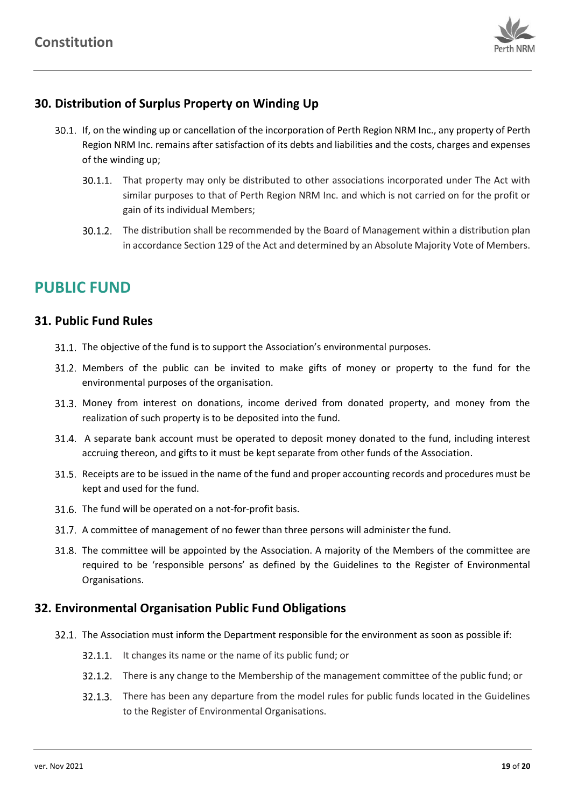

# <span id="page-19-0"></span>**30. Distribution of Surplus Property on Winding Up**

- 30.1. If, on the winding up or cancellation of the incorporation of Perth Region NRM Inc., any property of Perth Region NRM Inc. remains after satisfaction of its debts and liabilities and the costs, charges and expenses of the winding up;
	- 30.1.1. That property may only be distributed to other associations incorporated under The Act with similar purposes to that of Perth Region NRM Inc. and which is not carried on for the profit or gain of its individual Members;
	- 30.1.2. The distribution shall be recommended by the Board of Management within a distribution plan in accordance Section 129 of the Act and determined by an Absolute Majority Vote of Members.

# **PUBLIC FUND**

## <span id="page-19-1"></span>**31. Public Fund Rules**

- 31.1. The objective of the fund is to support the Association's environmental purposes.
- Members of the public can be invited to make gifts of money or property to the fund for the environmental purposes of the organisation.
- 31.3. Money from interest on donations, income derived from donated property, and money from the realization of such property is to be deposited into the fund.
- A separate bank account must be operated to deposit money donated to the fund, including interest accruing thereon, and gifts to it must be kept separate from other funds of the Association.
- 31.5. Receipts are to be issued in the name of the fund and proper accounting records and procedures must be kept and used for the fund.
- 31.6. The fund will be operated on a not-for-profit basis.
- A committee of management of no fewer than three persons will administer the fund.
- 31.8. The committee will be appointed by the Association. A majority of the Members of the committee are required to be 'responsible persons' as defined by the Guidelines to the Register of Environmental Organisations.

# <span id="page-19-2"></span>**32. Environmental Organisation Public Fund Obligations**

- The Association must inform the Department responsible for the environment as soon as possible if:
	- 32.1.1. It changes its name or the name of its public fund; or
	- 32.1.2. There is any change to the Membership of the management committee of the public fund; or
	- 32.1.3. There has been any departure from the model rules for public funds located in the Guidelines to the Register of Environmental Organisations.